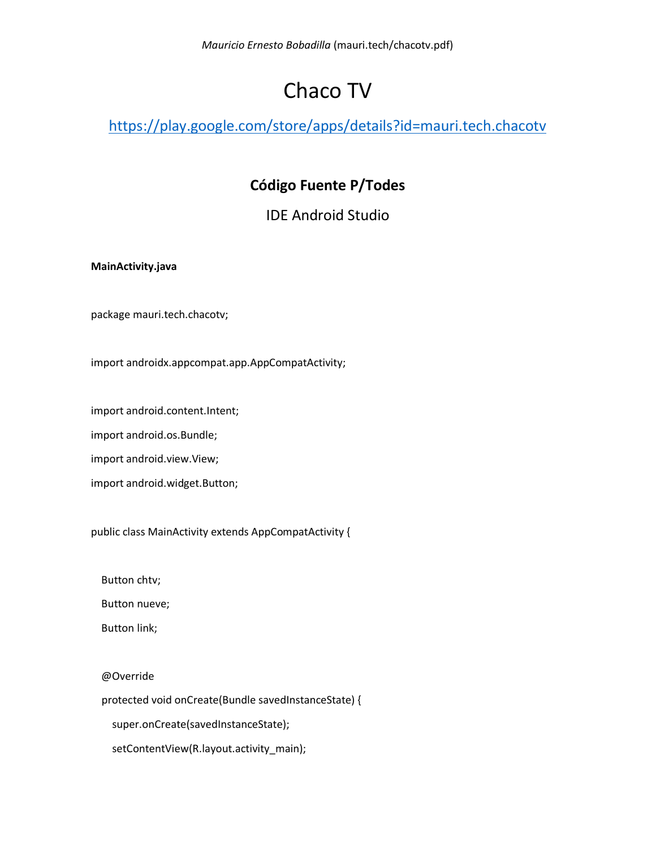# Chaco TV

<https://play.google.com/store/apps/details?id=mauri.tech.chacotv>

# **Código Fuente P/Todes**

IDE Android Studio

# **MainActivity.java**

package mauri.tech.chacotv;

import androidx.appcompat.app.AppCompatActivity;

import android.content.Intent;

import android.os.Bundle;

import android.view.View;

import android.widget.Button;

public class MainActivity extends AppCompatActivity {

Button chtv;

Button nueve;

Button link;

@Override

protected void onCreate(Bundle savedInstanceState) {

super.onCreate(savedInstanceState);

setContentView(R.layout.activity\_main);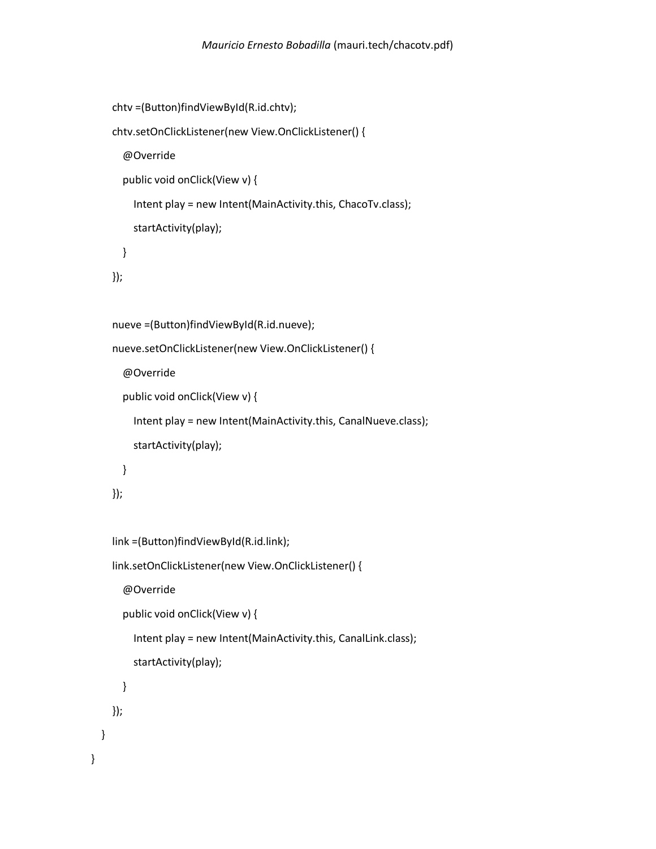```
 chtv =(Button)findViewById(R.id.chtv);
 chtv.setOnClickListener(new View.OnClickListener() {
   @Override
   public void onClick(View v) {
     Intent play = new Intent(MainActivity.this, ChacoTv.class);
     startActivity(play);
   }
 });
 nueve =(Button)findViewById(R.id.nueve);
 nueve.setOnClickListener(new View.OnClickListener() {
   @Override
   public void onClick(View v) {
     Intent play = new Intent(MainActivity.this, CanalNueve.class);
     startActivity(play);
  }
 });
 link =(Button)findViewById(R.id.link);
 link.setOnClickListener(new View.OnClickListener() {
   @Override
   public void onClick(View v) {
     Intent play = new Intent(MainActivity.this, CanalLink.class);
     startActivity(play);
   }
 });
```
}

}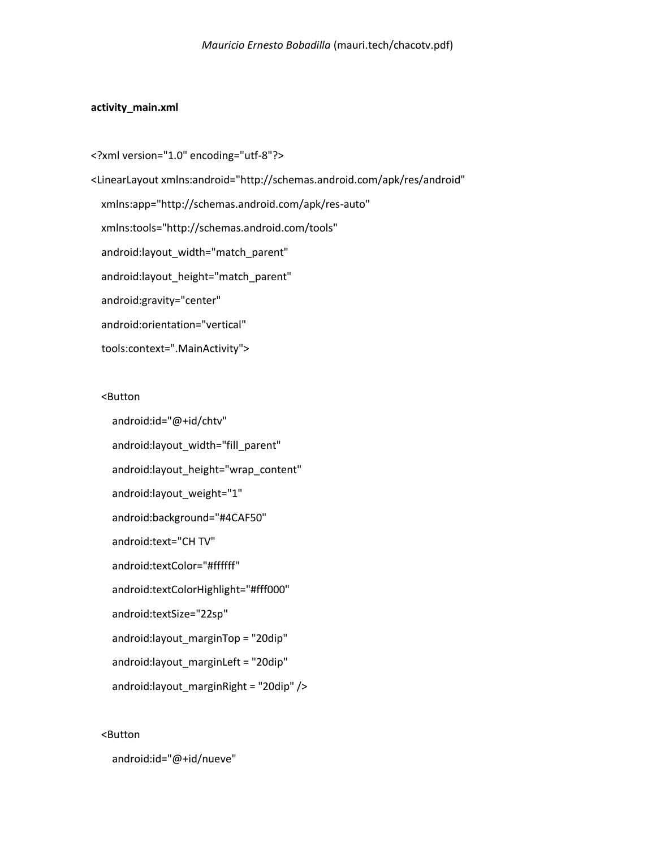#### **activity\_main.xml**

<?xml version="1.0" encoding="utf-8"?> <LinearLayout xmlns:android="http://schemas.android.com/apk/res/android" xmlns:app="http://schemas.android.com/apk/res-auto" xmlns:tools="http://schemas.android.com/tools" android:layout\_width="match\_parent" android:layout\_height="match\_parent" android:gravity="center" android:orientation="vertical" tools:context=".MainActivity">

<Button

 android:id="@+id/chtv" android:layout\_width="fill\_parent" android:layout\_height="wrap\_content" android:layout\_weight="1" android:background="#4CAF50" android:text="CH TV" android:textColor="#ffffff" android:textColorHighlight="#fff000" android:textSize="22sp" android:layout\_marginTop = "20dip" android: layout marginLeft = "20dip" android:layout\_marginRight = "20dip" />

<Button

android:id="@+id/nueve"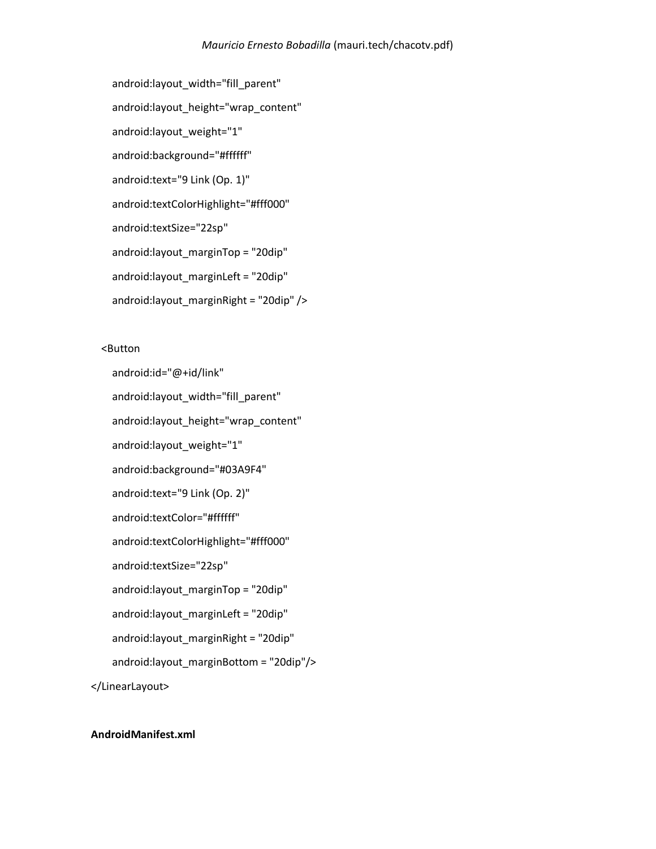```
 android:layout_width="fill_parent"
 android:layout_height="wrap_content"
 android:layout_weight="1"
 android:background="#ffffff"
 android:text="9 Link (Op. 1)"
 android:textColorHighlight="#fff000"
 android:textSize="22sp"
 android:layout_marginTop = "20dip"
 android:layout_marginLeft = "20dip"
 android:layout_marginRight = "20dip" />
```
# <Button

 android:id="@+id/link" android: layout width="fill\_parent" android:layout height="wrap content" android:layout\_weight="1" android:background="#03A9F4" android:text="9 Link (Op. 2)" android:textColor="#ffffff" android:textColorHighlight="#fff000" android:textSize="22sp" android: layout marginTop = "20dip" android:layout\_marginLeft = "20dip" android:layout\_marginRight = "20dip" android: layout marginBottom = "20dip"/> </LinearLayout>

# **AndroidManifest.xml**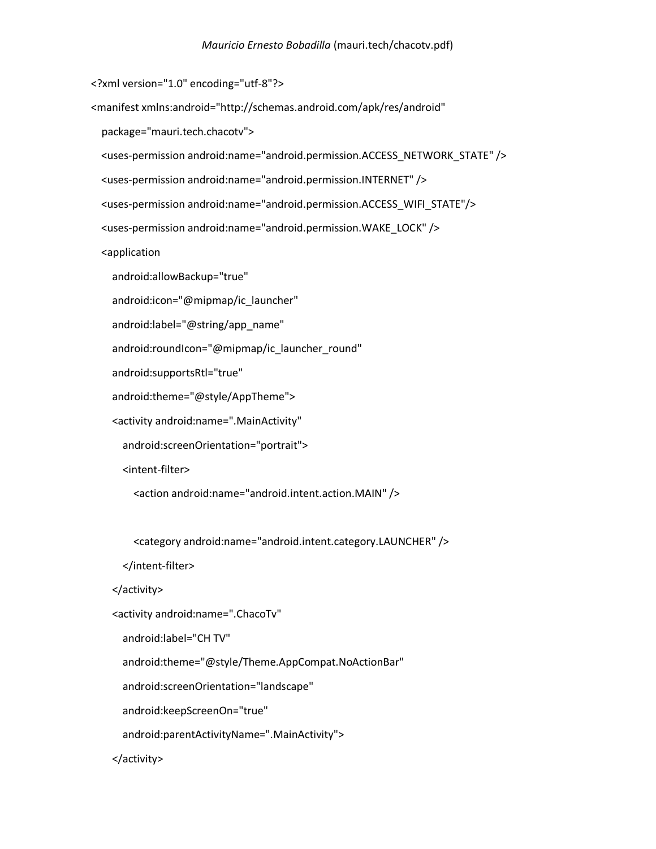<?xml version="1.0" encoding="utf-8"?>

<manifest xmlns:android="http://schemas.android.com/apk/res/android"

package="mauri.tech.chacotv">

<uses-permission android:name="android.permission.ACCESS\_NETWORK\_STATE" />

<uses-permission android:name="android.permission.INTERNET" />

<uses-permission android:name="android.permission.ACCESS\_WIFI\_STATE"/>

<uses-permission android:name="android.permission.WAKE\_LOCK" />

<application

android:allowBackup="true"

android:icon="@mipmap/ic\_launcher"

android:label="@string/app\_name"

android:roundIcon="@mipmap/ic\_launcher\_round"

android:supportsRtl="true"

android:theme="@style/AppTheme">

<activity android:name=".MainActivity"

android:screenOrientation="portrait">

<intent-filter>

<action android:name="android.intent.action.MAIN" />

<category android:name="android.intent.category.LAUNCHER" />

</intent-filter>

#### </activity>

<activity android:name=".ChacoTv"

android:label="CH TV"

android:theme="@style/Theme.AppCompat.NoActionBar"

android:screenOrientation="landscape"

android:keepScreenOn="true"

android:parentActivityName=".MainActivity">

</activity>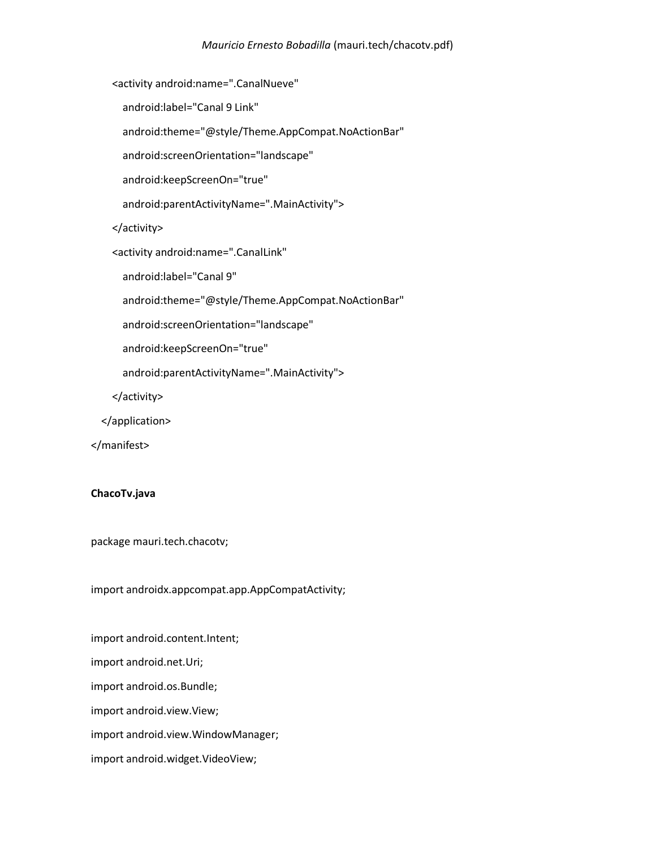<activity android:name=".CanalNueve"

android:label="Canal 9 Link"

android:theme="@style/Theme.AppCompat.NoActionBar"

android:screenOrientation="landscape"

android:keepScreenOn="true"

android:parentActivityName=".MainActivity">

</activity>

<activity android:name=".CanalLink"

android:label="Canal 9"

android:theme="@style/Theme.AppCompat.NoActionBar"

android:screenOrientation="landscape"

android:keepScreenOn="true"

android:parentActivityName=".MainActivity">

</activity>

</application>

</manifest>

#### **ChacoTv.java**

package mauri.tech.chacotv;

import androidx.appcompat.app.AppCompatActivity;

import android.content.Intent; import android.net.Uri; import android.os.Bundle; import android.view.View; import android.view.WindowManager; import android.widget.VideoView;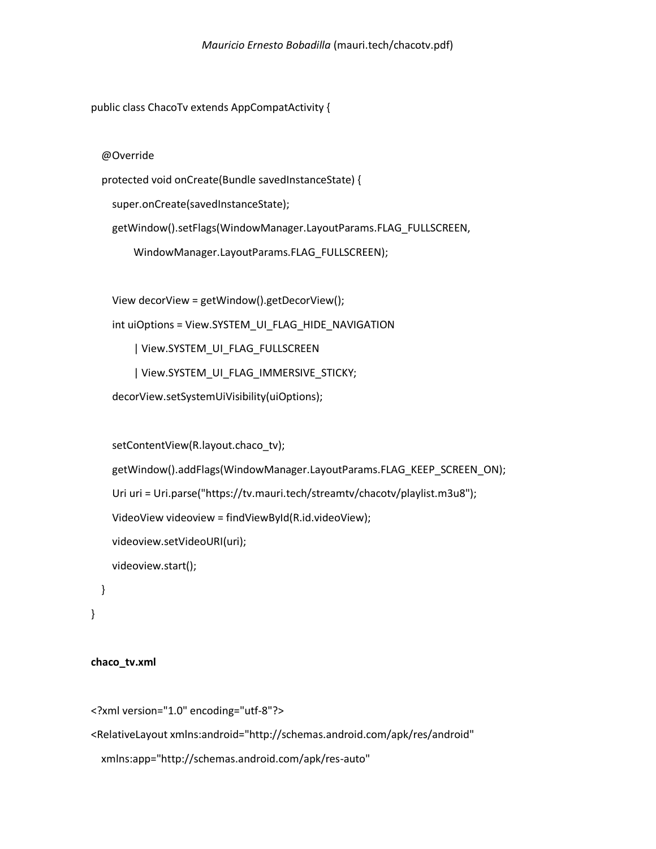public class ChacoTv extends AppCompatActivity {

@Override

protected void onCreate(Bundle savedInstanceState) {

super.onCreate(savedInstanceState);

getWindow().setFlags(WindowManager.LayoutParams.FLAG\_FULLSCREEN,

WindowManager.LayoutParams.FLAG\_FULLSCREEN);

View decorView = getWindow().getDecorView();

```
int uiOptions = View.SYSTEM_UI_FLAG_HIDE_NAVIGATION
```
| View.SYSTEM\_UI\_FLAG\_FULLSCREEN

| View.SYSTEM\_UI\_FLAG\_IMMERSIVE\_STICKY;

decorView.setSystemUiVisibility(uiOptions);

```
 setContentView(R.layout.chaco_tv);
   getWindow().addFlags(WindowManager.LayoutParams.FLAG_KEEP_SCREEN_ON);
   Uri uri = Uri.parse("https://tv.mauri.tech/streamtv/chacotv/playlist.m3u8");
   VideoView videoview = findViewById(R.id.videoView);
   videoview.setVideoURI(uri);
   videoview.start();
 }
```
}

## **chaco\_tv.xml**

```
<?xml version="1.0" encoding="utf-8"?>
```
<RelativeLayout xmlns:android="http://schemas.android.com/apk/res/android"

```
 xmlns:app="http://schemas.android.com/apk/res-auto"
```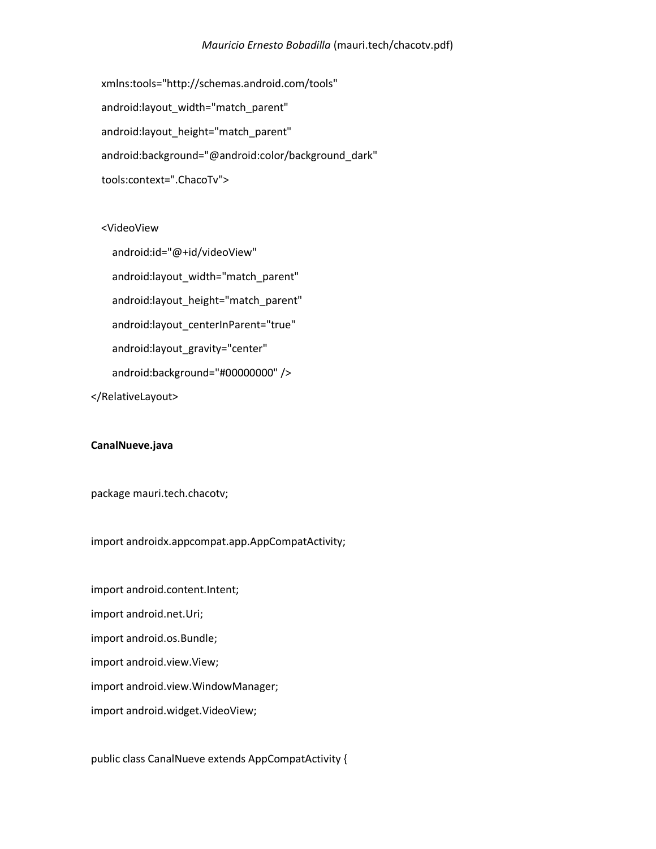```
 xmlns:tools="http://schemas.android.com/tools"
 android:layout_width="match_parent"
 android:layout_height="match_parent"
android:background="@android:color/background_dark"
 tools:context=".ChacoTv">
```
<VideoView

 android:id="@+id/videoView" android:layout\_width="match\_parent" android:layout\_height="match\_parent" android:layout centerInParent="true" android:layout\_gravity="center" android:background="#00000000" />

</RelativeLayout>

#### **CanalNueve.java**

package mauri.tech.chacotv;

import androidx.appcompat.app.AppCompatActivity;

import android.content.Intent; import android.net.Uri; import android.os.Bundle; import android.view.View; import android.view.WindowManager; import android.widget.VideoView;

public class CanalNueve extends AppCompatActivity {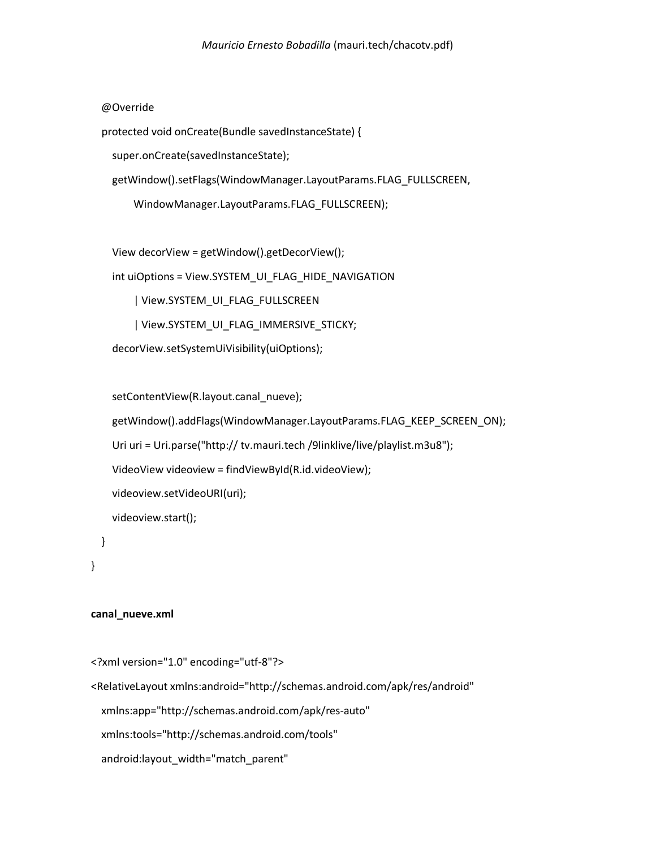@Override

protected void onCreate(Bundle savedInstanceState) {

super.onCreate(savedInstanceState);

getWindow().setFlags(WindowManager.LayoutParams.FLAG\_FULLSCREEN,

WindowManager.LayoutParams.FLAG\_FULLSCREEN);

View decorView = getWindow().getDecorView();

int uiOptions = View.SYSTEM\_UI\_FLAG\_HIDE\_NAVIGATION

| View.SYSTEM\_UI\_FLAG\_FULLSCREEN

| View.SYSTEM\_UI\_FLAG\_IMMERSIVE\_STICKY;

decorView.setSystemUiVisibility(uiOptions);

setContentView(R.layout.canal\_nueve);

```
getWindow().addFlags(WindowManager.LayoutParams.FLAG_KEEP_SCREEN_ON);
 Uri uri = Uri.parse("http:// tv.mauri.tech /9linklive/live/playlist.m3u8");
 VideoView videoview = findViewById(R.id.videoView);
 videoview.setVideoURI(uri);
 videoview.start();
```

```
}
```
}

#### **canal\_nueve.xml**

```
<?xml version="1.0" encoding="utf-8"?>
<RelativeLayout xmlns:android="http://schemas.android.com/apk/res/android"
   xmlns:app="http://schemas.android.com/apk/res-auto"
   xmlns:tools="http://schemas.android.com/tools"
  android:layout width="match parent"
```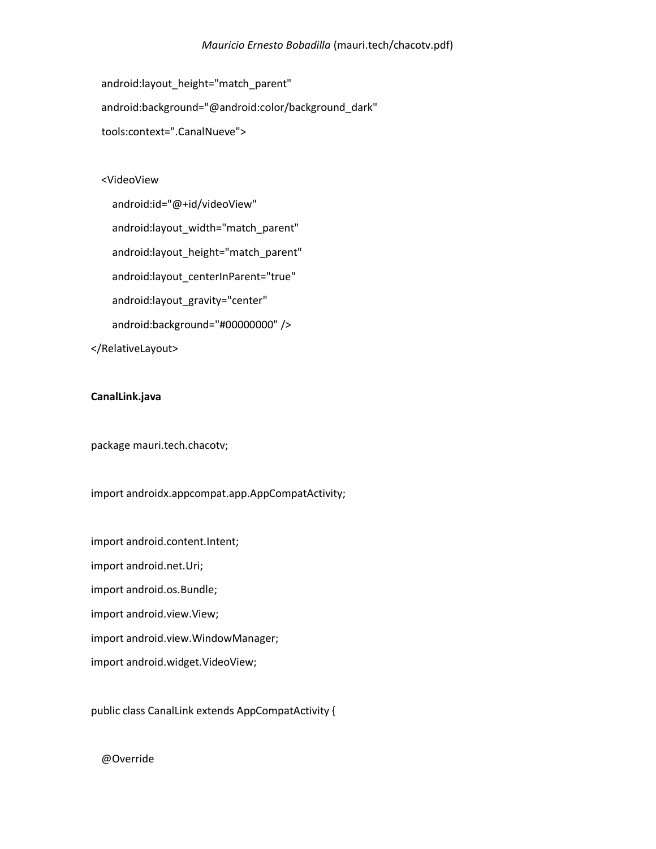android:layout\_height="match\_parent" android:background="@android:color/background\_dark" tools:context=".CanalNueve">

#### <VideoView

 android:id="@+id/videoView" android:layout\_width="match\_parent" android:layout\_height="match\_parent" android:layout\_centerInParent="true" android:layout\_gravity="center" android:background="#00000000" />

</RelativeLayout>

### **CanalLink.java**

package mauri.tech.chacotv;

import androidx.appcompat.app.AppCompatActivity;

import android.content.Intent; import android.net.Uri; import android.os.Bundle; import android.view.View; import android.view.WindowManager; import android.widget.VideoView;

public class CanalLink extends AppCompatActivity {

#### @Override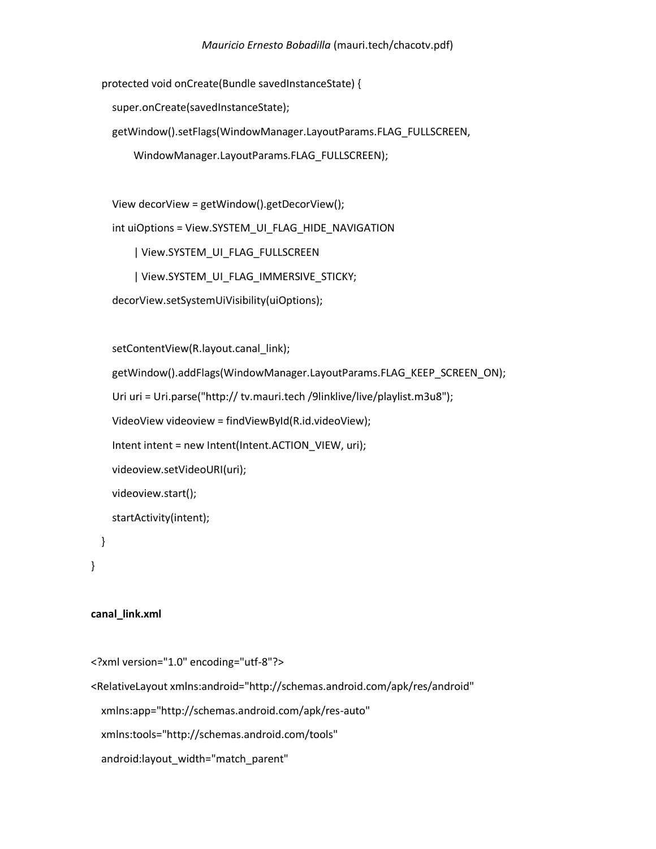protected void onCreate(Bundle savedInstanceState) {

super.onCreate(savedInstanceState);

getWindow().setFlags(WindowManager.LayoutParams.FLAG\_FULLSCREEN,

WindowManager.LayoutParams.FLAG\_FULLSCREEN);

View decorView = getWindow().getDecorView();

int uiOptions = View.SYSTEM\_UI\_FLAG\_HIDE\_NAVIGATION

| View.SYSTEM\_UI\_FLAG\_FULLSCREEN

| View.SYSTEM\_UI\_FLAG\_IMMERSIVE\_STICKY;

```
 decorView.setSystemUiVisibility(uiOptions);
```
setContentView(R.layout.canal\_link);

getWindow().addFlags(WindowManager.LayoutParams.FLAG\_KEEP\_SCREEN\_ON);

Uri uri = Uri.parse("http:// tv.mauri.tech /9linklive/live/playlist.m3u8");

```
 VideoView videoview = findViewById(R.id.videoView);
```
Intent intent = new Intent(Intent.ACTION\_VIEW, uri);

videoview.setVideoURI(uri);

videoview.start();

startActivity(intent);

}

# }

# **canal\_link.xml**

<?xml version="1.0" encoding="utf-8"?>

<RelativeLayout xmlns:android="http://schemas.android.com/apk/res/android"

xmlns:app="http://schemas.android.com/apk/res-auto"

xmlns:tools="http://schemas.android.com/tools"

android: layout width="match parent"